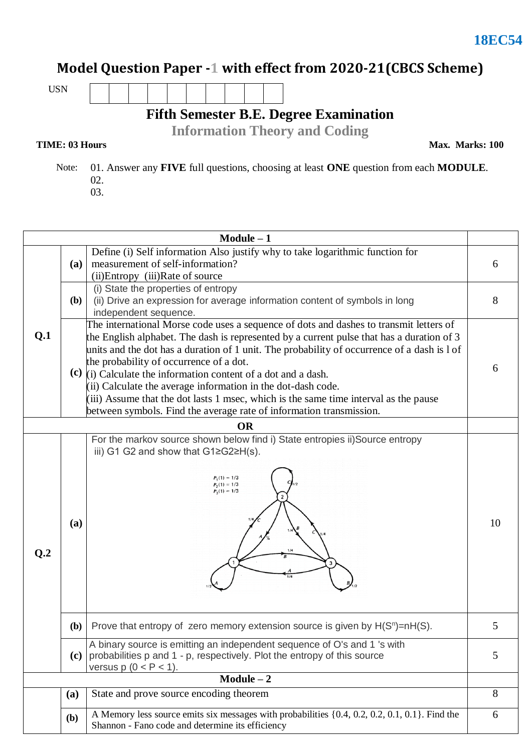### **Model Question Paper -1 with effect from 2020-21(CBCS Scheme)**

USN

**Fifth Semester B.E. Degree Examination**

**Information Theory and Coding**

#### **TIME: 03 Hours**

**Max. Marks: 100**

 Note: 01. Answer any **FIVE** full questions, choosing at least **ONE** question from each **MODULE**. 02.

03.

|              |              | $Module - 1$                                                                                                                                                                                                                                                                                                                                                                                                                                                                                                                                                                                                                     |    |  |
|--------------|--------------|----------------------------------------------------------------------------------------------------------------------------------------------------------------------------------------------------------------------------------------------------------------------------------------------------------------------------------------------------------------------------------------------------------------------------------------------------------------------------------------------------------------------------------------------------------------------------------------------------------------------------------|----|--|
|              | (a)          | Define (i) Self information Also justify why to take logarithmic function for<br>measurement of self-information?<br>(ii)Entropy (iii)Rate of source                                                                                                                                                                                                                                                                                                                                                                                                                                                                             |    |  |
| Q.1          | ( <b>b</b> ) | (i) State the properties of entropy<br>(ii) Drive an expression for average information content of symbols in long<br>independent sequence.                                                                                                                                                                                                                                                                                                                                                                                                                                                                                      | 8  |  |
|              |              | The international Morse code uses a sequence of dots and dashes to transmit letters of<br>the English alphabet. The dash is represented by a current pulse that has a duration of 3<br>units and the dot has a duration of 1 unit. The probability of occurrence of a dash is 1 of<br>the probability of occurrence of a dot.<br>(c) $(i)$ Calculate the information content of a dot and a dash.<br>(ii) Calculate the average information in the dot-dash code.<br>(iii) Assume that the dot lasts 1 msec, which is the same time interval as the pause<br>between symbols. Find the average rate of information transmission. |    |  |
|              |              | <b>OR</b>                                                                                                                                                                                                                                                                                                                                                                                                                                                                                                                                                                                                                        |    |  |
| Q.2          | (a)          | For the markov source shown below find i) State entropies ii) Source entropy<br>iii) G1 G2 and show that $G1 \ge G2 \ge H(s)$ .<br>$P_1(1) = 1/3$<br>$P_2(1) = 1/3$<br>$P_2(1) = 1/3$<br>1/4<br>3                                                                                                                                                                                                                                                                                                                                                                                                                                | 10 |  |
|              |              | (b) Prove that entropy of zero memory extension source is given by $H(S^n) = nH(S)$ .                                                                                                                                                                                                                                                                                                                                                                                                                                                                                                                                            | 5  |  |
|              | (c)          | A binary source is emitting an independent sequence of O's and 1 's with<br>probabilities p and 1 - p, respectively. Plot the entropy of this source<br>versus $p(0 < P < 1)$ .                                                                                                                                                                                                                                                                                                                                                                                                                                                  | 5  |  |
| $Module - 2$ |              |                                                                                                                                                                                                                                                                                                                                                                                                                                                                                                                                                                                                                                  |    |  |
|              | (a)          | State and prove source encoding theorem                                                                                                                                                                                                                                                                                                                                                                                                                                                                                                                                                                                          | 8  |  |
|              | <b>(b)</b>   | A Memory less source emits six messages with probabilities {0.4, 0.2, 0.2, 0.1, 0.1}. Find the<br>Shannon - Fano code and determine its efficiency                                                                                                                                                                                                                                                                                                                                                                                                                                                                               | 6  |  |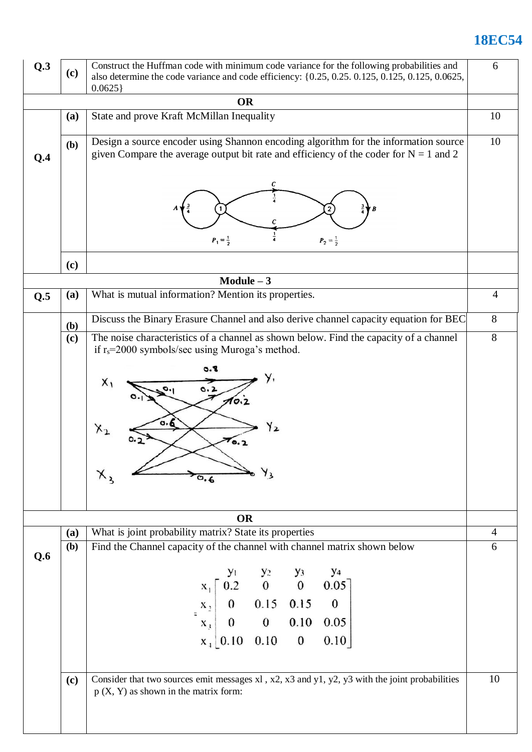# **18EC54**

| Q.3 | (c)                                                        | Construct the Huffman code with minimum code variance for the following probabilities and<br>also determine the code variance and code efficiency: {0.25, 0.25, 0.125, 0.125, 0.125, 0.0625,<br>0.0625 |                |  |  |  |  |
|-----|------------------------------------------------------------|--------------------------------------------------------------------------------------------------------------------------------------------------------------------------------------------------------|----------------|--|--|--|--|
|     |                                                            | <b>OR</b>                                                                                                                                                                                              |                |  |  |  |  |
|     | (a)                                                        | State and prove Kraft McMillan Inequality                                                                                                                                                              |                |  |  |  |  |
| Q.4 | (b)                                                        | Design a source encoder using Shannon encoding algorithm for the information source<br>given Compare the average output bit rate and efficiency of the coder for $N = 1$ and 2                         |                |  |  |  |  |
|     |                                                            | 2<br>$P_1 = \frac{1}{2}$<br>$P_2 = \frac{1}{2}$                                                                                                                                                        |                |  |  |  |  |
|     | (c)                                                        |                                                                                                                                                                                                        |                |  |  |  |  |
|     |                                                            | $Module - 3$                                                                                                                                                                                           |                |  |  |  |  |
| Q.5 | What is mutual information? Mention its properties.<br>(a) |                                                                                                                                                                                                        |                |  |  |  |  |
|     | <b>(b)</b>                                                 | Discuss the Binary Erasure Channel and also derive channel capacity equation for BEC                                                                                                                   |                |  |  |  |  |
|     | (c)                                                        | The noise characteristics of a channel as shown below. Find the capacity of a channel<br>if $r_s = 2000$ symbols/sec using Muroga's method.                                                            |                |  |  |  |  |
|     |                                                            | 8.0<br>y,<br>$X_1$<br>0.2<br>10.2<br>a. 6<br>f 2<br>$X_{1}$<br>70.2<br>$, Y_3$                                                                                                                         |                |  |  |  |  |
|     |                                                            | <b>OR</b>                                                                                                                                                                                              |                |  |  |  |  |
|     | (a)                                                        | What is joint probability matrix? State its properties                                                                                                                                                 | $\overline{4}$ |  |  |  |  |
| Q.6 | (b)                                                        | Find the Channel capacity of the channel with channel matrix shown below                                                                                                                               | 6              |  |  |  |  |
|     |                                                            | $\begin{bmatrix} y_1 & y_2 & y_3 & y_4 \ x_1 & 0.2 & 0 & 0 & 0.05 \ 0 & 0.15 & 0.15 & 0 \ x_3 & 0 & 0 & 0.10 & 0.05 \end{bmatrix}$                                                                     |                |  |  |  |  |
|     |                                                            |                                                                                                                                                                                                        |                |  |  |  |  |
|     |                                                            |                                                                                                                                                                                                        |                |  |  |  |  |
|     |                                                            | $x_1$ 0.10 0.10 0<br>0.10                                                                                                                                                                              |                |  |  |  |  |
|     | (c)                                                        | Consider that two sources emit messages x1, x2, x3 and y1, y2, y3 with the joint probabilities<br>$p(X, Y)$ as shown in the matrix form:                                                               | 10             |  |  |  |  |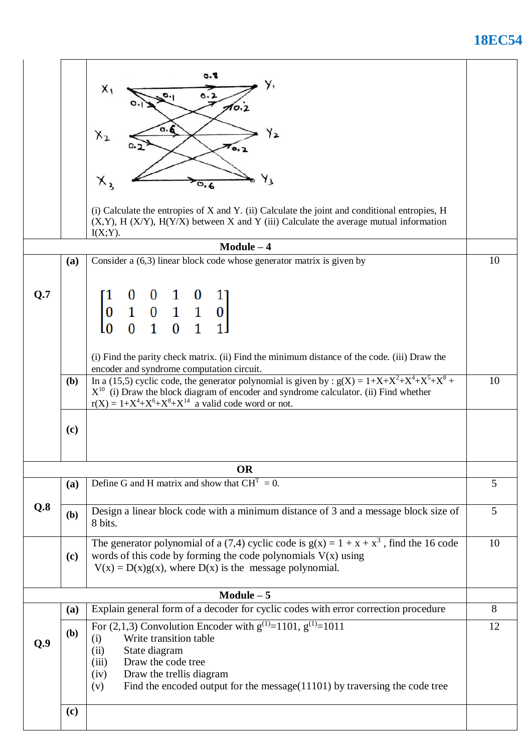### **18EC54**

| 8.0<br>$X_1$<br>0.2<br>AO.<br>٥.δ<br>Y2<br>$x_{2}$<br>70.2<br>Y3<br>$X_{2}$<br>(i) Calculate the entropies of X and Y. (ii) Calculate the joint and conditional entropies, H                                                                                                                               |    |  |  |
|------------------------------------------------------------------------------------------------------------------------------------------------------------------------------------------------------------------------------------------------------------------------------------------------------------|----|--|--|
| $(X,Y)$ , H $(X/Y)$ , H $(Y/X)$ between X and Y (iii) Calculate the average mutual information<br>$I(X;Y)$ .                                                                                                                                                                                               |    |  |  |
| $Module - 4$                                                                                                                                                                                                                                                                                               |    |  |  |
| Consider a $(6,3)$ linear block code whose generator matrix is given by<br>(a)                                                                                                                                                                                                                             | 10 |  |  |
| Q.7<br>$\begin{bmatrix} 1 & 0 & 0 & 1 & 0 & 1 \\ 0 & 1 & 0 & 1 & 1 & 0 \\ 0 & 0 & 1 & 0 & 1 & 1 \end{bmatrix}$                                                                                                                                                                                             |    |  |  |
| (i) Find the parity check matrix. (ii) Find the minimum distance of the code. (iii) Draw the                                                                                                                                                                                                               |    |  |  |
| encoder and syndrome computation circuit.<br>In a (15,5) cyclic code, the generator polynomial is given by : $g(X) = 1+X+X^2+X^4+X^5+X^8$ +<br>(b)<br>$X^{10}$ (i) Draw the block diagram of encoder and syndrome calculator. (ii) Find whether<br>$r(X) = 1+X^4+X^6+X^8+X^{14}$ a valid code word or not. | 10 |  |  |
| (c)                                                                                                                                                                                                                                                                                                        |    |  |  |
| <b>OR</b>                                                                                                                                                                                                                                                                                                  |    |  |  |
| Define G and H matrix and show that $CHT = 0$ .<br>(a)                                                                                                                                                                                                                                                     |    |  |  |
| Q.8<br>Design a linear block code with a minimum distance of 3 and a message block size of<br>(b)<br>8 bits.                                                                                                                                                                                               | 5  |  |  |
| The generator polynomial of a (7,4) cyclic code is $g(x) = 1 + x + x^3$ , find the 16 code<br>words of this code by forming the code polynomials $V(x)$ using<br>(c)<br>$V(x) = D(x)g(x)$ , where $D(x)$ is the message polynomial.                                                                        | 10 |  |  |
| $Module - 5$                                                                                                                                                                                                                                                                                               |    |  |  |
| Explain general form of a decoder for cyclic codes with error correction procedure<br>(a)                                                                                                                                                                                                                  | 8  |  |  |
| For (2,1,3) Convolution Encoder with $g^{(1)} = 1\overline{101}$ , $g^{(1)} = 1011$<br>(b)<br>Write transition table<br>(i)<br>Q.9<br>State diagram<br>(ii)<br>Draw the code tree                                                                                                                          | 12 |  |  |
| (iii)<br>Draw the trellis diagram<br>(iv)<br>Find the encoded output for the message $(11101)$ by traversing the code tree<br>(v)                                                                                                                                                                          |    |  |  |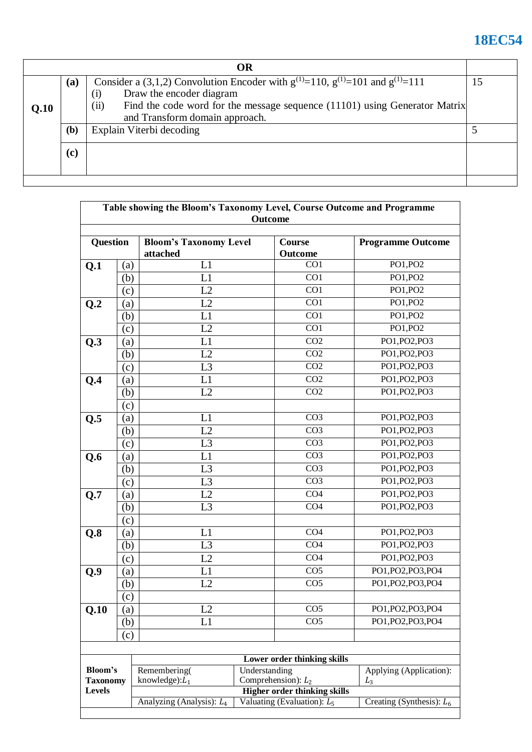# **18EC54**

| OR   |                                                                                                                                                          |                                                                                                                      |  |  |
|------|----------------------------------------------------------------------------------------------------------------------------------------------------------|----------------------------------------------------------------------------------------------------------------------|--|--|
|      | Consider a (3,1,2) Convolution Encoder with $g^{(1)} = 110$ , $g^{(1)} = 101$ and $g^{(1)} = 111$<br>(a)<br>Draw the encoder diagram<br>$\left(1\right)$ |                                                                                                                      |  |  |
| Q.10 |                                                                                                                                                          | (ii)<br>Find the code word for the message sequence (11101) using Generator Matrix<br>and Transform domain approach. |  |  |
|      | (b)                                                                                                                                                      | Explain Viterbi decoding                                                                                             |  |  |
|      | (c)                                                                                                                                                      |                                                                                                                      |  |  |
|      |                                                                                                                                                          |                                                                                                                      |  |  |

| Table showing the Bloom's Taxonomy Level, Course Outcome and Programme<br>Outcome |     |                                                                                             |               |                             |                          |  |
|-----------------------------------------------------------------------------------|-----|---------------------------------------------------------------------------------------------|---------------|-----------------------------|--------------------------|--|
| Question                                                                          |     | <b>Bloom's Taxonomy Level</b>                                                               |               | <b>Course</b>               | <b>Programme Outcome</b> |  |
|                                                                                   |     | attached                                                                                    |               | Outcome                     |                          |  |
| Q.1                                                                               | (a) | L1                                                                                          |               | CO <sub>1</sub>             | PO1, PO2                 |  |
|                                                                                   | (b) | L1                                                                                          |               | CO1                         | PO1, PO2                 |  |
|                                                                                   | (c) | L2                                                                                          |               | CO1                         | PO1, PO2                 |  |
| Q.2                                                                               | (a) | L2                                                                                          |               | CO <sub>1</sub>             | PO1, PO2                 |  |
|                                                                                   | (b) | L1                                                                                          |               | CO1                         | PO1, PO2                 |  |
|                                                                                   | (c) | L2                                                                                          |               | CO1                         | PO1, PO2                 |  |
| Q.3                                                                               | (a) | L1                                                                                          |               | CO <sub>2</sub>             | PO1, PO2, PO3            |  |
|                                                                                   | (b) | L2                                                                                          |               | CO <sub>2</sub>             | PO1, PO2, PO3            |  |
|                                                                                   | (c) | L <sub>3</sub>                                                                              |               | $\overline{CO2}$            | PO1, PO2, PO3            |  |
| Q.4                                                                               | (a) | L1                                                                                          |               | CO <sub>2</sub>             | PO1, PO2, PO3            |  |
|                                                                                   | (b) | L2                                                                                          |               | CO <sub>2</sub>             | PO1, PO2, PO3            |  |
|                                                                                   | (c) |                                                                                             |               |                             |                          |  |
| Q.5                                                                               | (a) | L1                                                                                          |               | CO <sub>3</sub>             | PO1, PO2, PO3            |  |
|                                                                                   | (b) | L2                                                                                          |               | CO <sub>3</sub>             | PO1, PO2, PO3            |  |
|                                                                                   | (c) | L3                                                                                          |               | CO <sub>3</sub>             | PO1, PO2, PO3            |  |
| Q.6                                                                               | (a) | L1                                                                                          |               | CO <sub>3</sub>             | PO1, PO2, PO3            |  |
|                                                                                   | (b) | L <sub>3</sub>                                                                              |               | CO <sub>3</sub>             | PO1, PO2, PO3            |  |
|                                                                                   | (c) | L <sub>3</sub>                                                                              |               | CO <sub>3</sub>             | PO1, PO2, PO3            |  |
| Q.7                                                                               | (a) | L2                                                                                          |               | CO <sub>4</sub>             | PO1, PO2, PO3            |  |
|                                                                                   | (b) | L <sub>3</sub>                                                                              |               | CO <sub>4</sub>             | PO1, PO2, PO3            |  |
|                                                                                   | (c) |                                                                                             |               |                             |                          |  |
| Q.8                                                                               | (a) | L1                                                                                          |               | CO <sub>4</sub>             | PO1, PO2, PO3            |  |
|                                                                                   | (b) | L <sub>3</sub>                                                                              |               | CO <sub>4</sub>             | PO1, PO2, PO3            |  |
|                                                                                   | (c) | L2                                                                                          |               | CO <sub>4</sub>             | PO1, PO2, PO3            |  |
| Q.9                                                                               | (a) | L1                                                                                          |               | CO <sub>5</sub>             | PO1, PO2, PO3, PO4       |  |
|                                                                                   | (b) | L2                                                                                          |               | CO <sub>5</sub>             | PO1, PO2, PO3, PO4       |  |
|                                                                                   | (c) |                                                                                             |               |                             |                          |  |
| Q.10                                                                              | (a) | L2                                                                                          |               | CO <sub>5</sub>             | PO1, PO2, PO3, PO4       |  |
|                                                                                   | (b) | L1                                                                                          |               | CO <sub>5</sub>             | PO1, PO2, PO3, PO4       |  |
|                                                                                   | (c) |                                                                                             |               |                             |                          |  |
|                                                                                   |     |                                                                                             |               |                             |                          |  |
|                                                                                   |     |                                                                                             |               | Lower order thinking skills |                          |  |
| <b>Bloom's</b><br><b>Taxonomy</b><br><b>Levels</b>                                |     | Remembering(                                                                                | Understanding |                             | Applying (Application):  |  |
|                                                                                   |     | Comprehension): $L_2$<br>knowledge): $L_1$<br>$L_3$<br><b>Higher order thinking skills</b>  |               |                             |                          |  |
|                                                                                   |     | Valuating (Evaluation): $L_5$<br>Creating (Synthesis): $L_6$<br>Analyzing (Analysis): $L_4$ |               |                             |                          |  |
|                                                                                   |     |                                                                                             |               |                             |                          |  |